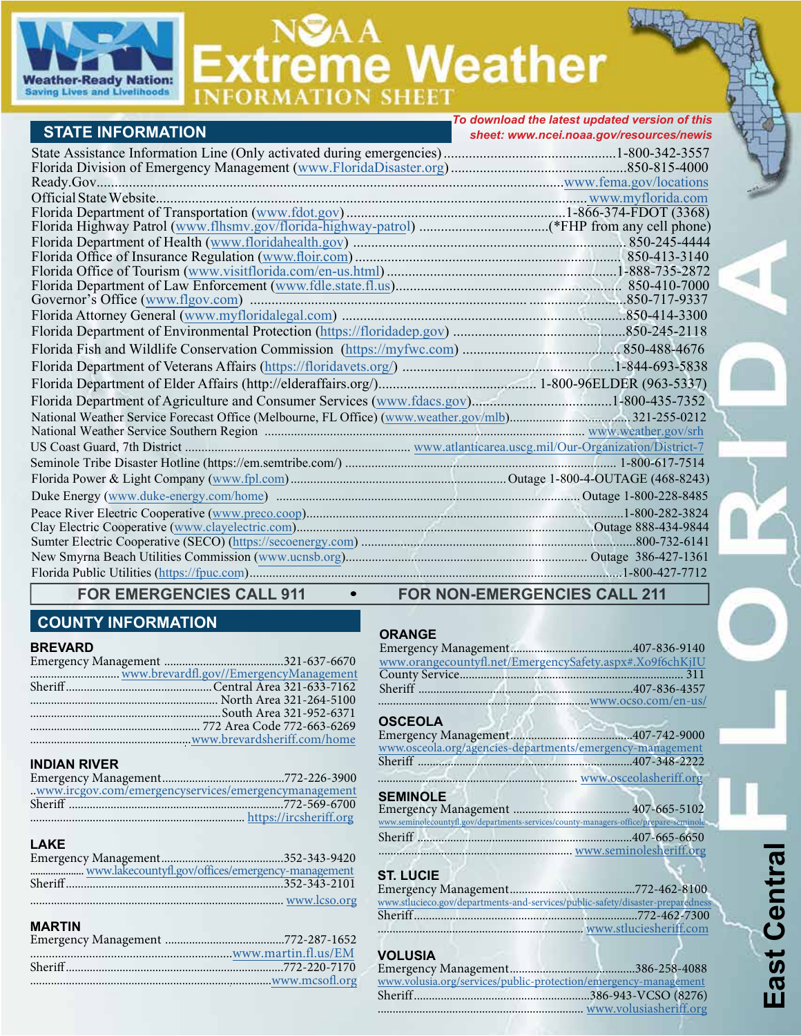

# NSAA<br>Extreme Weather

|                                                                                                          | To download the latest updated version of this |
|----------------------------------------------------------------------------------------------------------|------------------------------------------------|
| <b>STATE INFORMATION</b>                                                                                 | sheet: www.ncei.noaa.gov/resources/newis       |
|                                                                                                          |                                                |
|                                                                                                          |                                                |
|                                                                                                          |                                                |
|                                                                                                          |                                                |
|                                                                                                          |                                                |
|                                                                                                          |                                                |
|                                                                                                          |                                                |
|                                                                                                          |                                                |
| 1-888-735-2872. I-888-735-2872. I-888-735-2872. I-mail: The of Tourism (www.visitflorida.com/en-us.html) |                                                |
|                                                                                                          |                                                |
|                                                                                                          |                                                |
|                                                                                                          |                                                |
|                                                                                                          |                                                |
|                                                                                                          |                                                |
|                                                                                                          |                                                |
|                                                                                                          |                                                |
|                                                                                                          |                                                |
|                                                                                                          |                                                |
|                                                                                                          |                                                |
|                                                                                                          |                                                |
|                                                                                                          |                                                |
|                                                                                                          |                                                |
|                                                                                                          |                                                |
|                                                                                                          |                                                |
|                                                                                                          |                                                |
|                                                                                                          |                                                |
|                                                                                                          |                                                |
|                                                                                                          |                                                |
|                                                                                                          |                                                |

# **COUNTY INFORMATION**

#### **BREVARD**

| www.brevardfl.gov//EmergencyManagement |
|----------------------------------------|
|                                        |
|                                        |
|                                        |
|                                        |
|                                        |

# **INDIAN RIVER**

| .www.ircgov.com/emergencyservices/emergencymanagement |  |
|-------------------------------------------------------|--|
|                                                       |  |
|                                                       |  |
|                                                       |  |

#### **LAKE**

#### **MARTIN**

# FOR EMERGENCIES CALL 911 • FOR NON-EMERGENCIES CALL 211

# **ORANGE**

| www.orangecountyfl.net/EmergencySafety.aspx#.Xo9f6chKjIU |  |
|----------------------------------------------------------|--|
|                                                          |  |
|                                                          |  |
|                                                          |  |

# **OSCEOLA**

| www.osceola.org/agencies-departments/emergency-management                             |  |
|---------------------------------------------------------------------------------------|--|
|                                                                                       |  |
| www.osceolasheriff.org                                                                |  |
| <b>SEMINOLE</b>                                                                       |  |
|                                                                                       |  |
| www.seminolecountyfl.gov/departments-services/county-managers-office/prepare-seminole |  |
|                                                                                       |  |
|                                                                                       |  |

# **ST. LUCIE**

| www.stlucieco.gov/departments-and-services/public-safety/disaster-preparedness |  |
|--------------------------------------------------------------------------------|--|
|                                                                                |  |
|                                                                                |  |

# **VOLUSIA**

| www.volusia.org/services/public-protection/emergency-management |  |
|-----------------------------------------------------------------|--|
|                                                                 |  |
| www.volusiasheriff.org                                          |  |